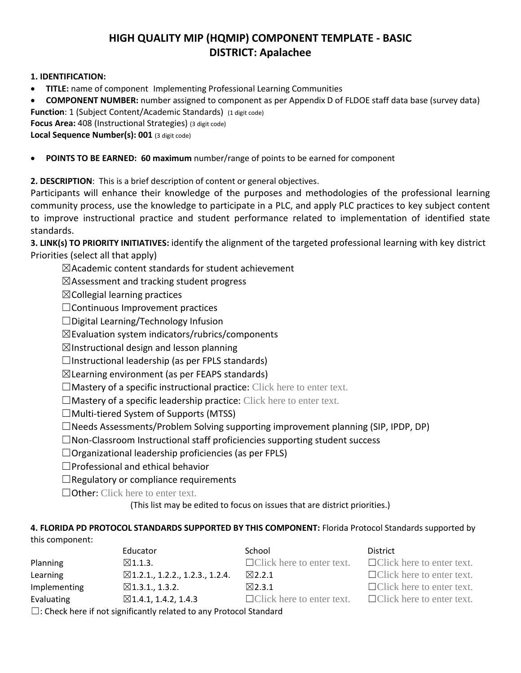## **HIGH QUALITY MIP (HQMIP) COMPONENT TEMPLATE - BASIC DISTRICT: Apalachee**

## **1. IDENTIFICATION:**

- **TITLE:** name of component Implementing Professional Learning Communities
- **COMPONENT NUMBER:** number assigned to component as per Appendix D of FLDOE staff data base (survey data)

**Function:** 1 (Subject Content/Academic Standards) (1 digit code)

**Focus Area:** 408 (Instructional Strategies) (3 digit code)

**Local Sequence Number(s): 001** (3 digit code)

**POINTS TO BE EARNED: 60 maximum** number/range of points to be earned for component

**2. DESCRIPTION**: This is a brief description of content or general objectives.

Participants will enhance their knowledge of the purposes and methodologies of the professional learning community process, use the knowledge to participate in a PLC, and apply PLC practices to key subject content to improve instructional practice and student performance related to implementation of identified state standards.

**3. LINK(s) TO PRIORITY INITIATIVES:** identify the alignment of the targeted professional learning with key district Priorities (select all that apply)

 $\boxtimes$ Academic content standards for student achievement

 $\boxtimes$ Assessment and tracking student progress

 $\boxtimes$ Collegial learning practices

☐Continuous Improvement practices

☐Digital Learning/Technology Infusion

 $\boxtimes$ Evaluation system indicators/rubrics/components

 $\boxtimes$ Instructional design and lesson planning

 $\Box$ Instructional leadership (as per FPLS standards)

 $\boxtimes$ Learning environment (as per FEAPS standards)

 $\Box$ Mastery of a specific instructional practice: Click here to enter text.

 $\Box$ Mastery of a specific leadership practice: Click here to enter text.

 $\Box$ Multi-tiered System of Supports (MTSS)

 $\Box$ Needs Assessments/Problem Solving supporting improvement planning (SIP, IPDP, DP)

☐Non-Classroom Instructional staff proficiencies supporting student success

 $\Box$ Organizational leadership proficiencies (as per FPLS)

☐Professional and ethical behavior

 $\Box$ Regulatory or compliance requirements

□Other: Click here to enter text.

(This list may be edited to focus on issues that are district priorities.)

## **4. FLORIDA PD PROTOCOL STANDARDS SUPPORTED BY THIS COMPONENT:** Florida Protocol Standards supported by this component:

|                      | Educator                                   | School                           | District                         |
|----------------------|--------------------------------------------|----------------------------------|----------------------------------|
| Planning             | $\boxtimes$ 1.1.3.                         | $\Box$ Click here to enter text. | $\Box$ Click here to enter text. |
| Learning             | $\boxtimes$ 1.2.1., 1.2.2., 1.2.3., 1.2.4. | $\boxtimes$ 2.2.1                | $\Box$ Click here to enter text. |
| Implementing         | $\boxtimes$ 1.3.1., 1.3.2.                 | $\boxtimes$ 2.3.1                | $\Box$ Click here to enter text. |
| Evaluating           | $\boxtimes$ 1.4.1, 1.4.2, 1.4.3            | $\Box$ Click here to enter text. | $\Box$ Click here to enter text. |
| $\Box$ $\sim$ $\Box$ |                                            |                                  |                                  |

 $\Box$ : Check here if not significantly related to any Protocol Standard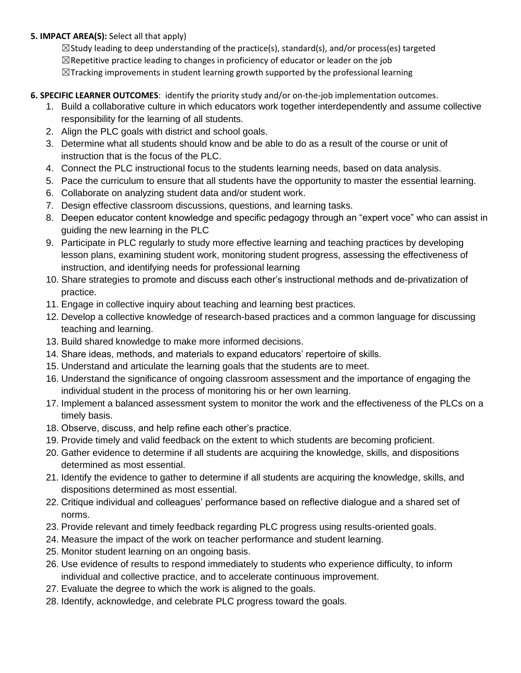## **5. IMPACT AREA(S):** Select all that apply)

 $\boxtimes$ Study leading to deep understanding of the practice(s), standard(s), and/or process(es) targeted  $\boxtimes$ Repetitive practice leading to changes in proficiency of educator or leader on the job  $\boxtimes$ Tracking improvements in student learning growth supported by the professional learning

- **6. SPECIFIC LEARNER OUTCOMES**: identify the priority study and/or on-the-job implementation outcomes.
	- 1. Build a collaborative culture in which educators work together interdependently and assume collective responsibility for the learning of all students.
	- 2. Align the PLC goals with district and school goals.
	- 3. Determine what all students should know and be able to do as a result of the course or unit of instruction that is the focus of the PLC.
	- 4. Connect the PLC instructional focus to the students learning needs, based on data analysis.
	- 5. Pace the curriculum to ensure that all students have the opportunity to master the essential learning.
	- 6. Collaborate on analyzing student data and/or student work.
	- 7. Design effective classroom discussions, questions, and learning tasks.
	- 8. Deepen educator content knowledge and specific pedagogy through an "expert voce" who can assist in guiding the new learning in the PLC
	- 9. Participate in PLC regularly to study more effective learning and teaching practices by developing lesson plans, examining student work, monitoring student progress, assessing the effectiveness of instruction, and identifying needs for professional learning
	- 10. Share strategies to promote and discuss each other's instructional methods and de-privatization of practice.
	- 11. Engage in collective inquiry about teaching and learning best practices.
	- 12. Develop a collective knowledge of research-based practices and a common language for discussing teaching and learning.
	- 13. Build shared knowledge to make more informed decisions.
	- 14. Share ideas, methods, and materials to expand educators' repertoire of skills.
	- 15. Understand and articulate the learning goals that the students are to meet.
	- 16. Understand the significance of ongoing classroom assessment and the importance of engaging the individual student in the process of monitoring his or her own learning.
	- 17. Implement a balanced assessment system to monitor the work and the effectiveness of the PLCs on a timely basis.
	- 18. Observe, discuss, and help refine each other's practice.
	- 19. Provide timely and valid feedback on the extent to which students are becoming proficient.
	- 20. Gather evidence to determine if all students are acquiring the knowledge, skills, and dispositions determined as most essential.
	- 21. Identify the evidence to gather to determine if all students are acquiring the knowledge, skills, and dispositions determined as most essential.
	- 22. Critique individual and colleagues' performance based on reflective dialogue and a shared set of norms.
	- 23. Provide relevant and timely feedback regarding PLC progress using results-oriented goals.
	- 24. Measure the impact of the work on teacher performance and student learning.
	- 25. Monitor student learning on an ongoing basis.
	- 26. Use evidence of results to respond immediately to students who experience difficulty, to inform individual and collective practice, and to accelerate continuous improvement.
	- 27. Evaluate the degree to which the work is aligned to the goals.
	- 28. Identify, acknowledge, and celebrate PLC progress toward the goals.